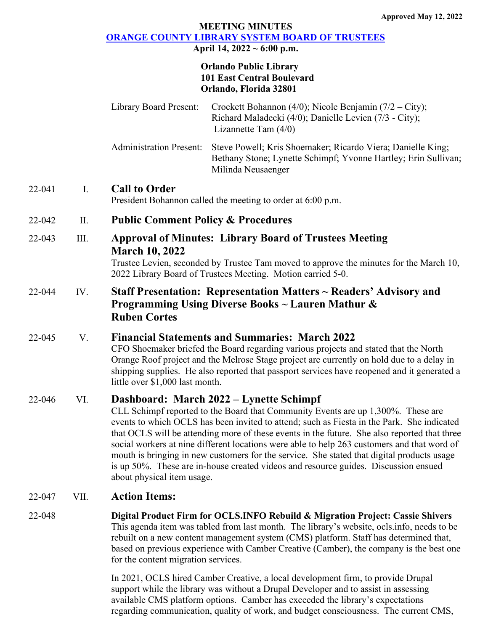## **MEETING MINUTES [ORANGE COUNTY LIBRARY SYSTEM BOARD OF TRUSTEES](https://www.ocls.info/board-trustees/board-meetings-minutes)**

**April 14, 2022 ~ 6:00 p.m.**

#### **Orlando Public Library 101 East Central Boulevard Orlando, Florida 32801**

| <b>Library Board Present:</b>  | Crockett Bohannon (4/0); Nicole Benjamin (7/2 – City);<br>Richard Maladecki (4/0); Danielle Levien (7/3 - City);<br>Lizannette Tam $(4/0)$          |
|--------------------------------|-----------------------------------------------------------------------------------------------------------------------------------------------------|
| <b>Administration Present:</b> | Steve Powell; Kris Shoemaker; Ricardo Viera; Danielle King;<br>Bethany Stone; Lynette Schimpf; Yvonne Hartley; Erin Sullivan;<br>Milinda Neusaenger |

## 22-041 I. **Call to Order**

President Bohannon called the meeting to order at 6:00 p.m.

## 22-042 II. **Public Comment Policy & Procedures**

## 22-043 III. **Approval of Minutes: Library Board of Trustees Meeting March 10, 2022**

Trustee Levien, seconded by Trustee Tam moved to approve the minutes for the March 10, 2022 Library Board of Trustees Meeting. Motion carried 5-0.

# 22-044 IV. **Staff Presentation: Representation Matters ~ Readers' Advisory and Programming Using Diverse Books ~ Lauren Mathur & Ruben Cortes**

## 22-045 V. **Financial Statements and Summaries: March 2022**

CFO Shoemaker briefed the Board regarding various projects and stated that the North Orange Roof project and the Melrose Stage project are currently on hold due to a delay in shipping supplies. He also reported that passport services have reopened and it generated a little over \$1,000 last month.

## 22-046 VI. **Dashboard: March 2022 – Lynette Schimpf**

CLL Schimpf reported to the Board that Community Events are up 1,300%. These are events to which OCLS has been invited to attend; such as Fiesta in the Park. She indicated that OCLS will be attending more of these events in the future. She also reported that three social workers at nine different locations were able to help 263 customers and that word of mouth is bringing in new customers for the service. She stated that digital products usage is up 50%. These are in-house created videos and resource guides. Discussion ensued about physical item usage.

## 22-047 VII. **Action Items:**

## 22-048 **Digital Product Firm for OCLS.INFO Rebuild & Migration Project: Cassie Shivers** This agenda item was tabled from last month. The library's website, ocls.info, needs to be rebuilt on a new content management system (CMS) platform. Staff has determined that, based on previous experience with Camber Creative (Camber), the company is the best one for the content migration services.

In 2021, OCLS hired Camber Creative, a local development firm, to provide Drupal support while the library was without a Drupal Developer and to assist in assessing available CMS platform options. Camber has exceeded the library's expectations regarding communication, quality of work, and budget consciousness. The current CMS,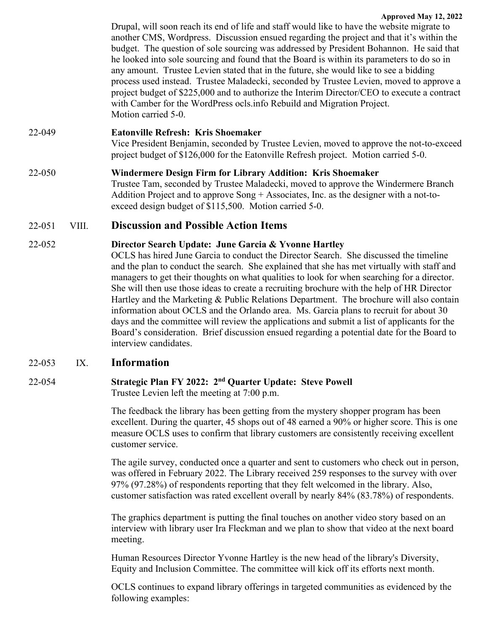**Approved May 12, 2022** Drupal, will soon reach its end of life and staff would like to have the website migrate to another CMS, Wordpress. Discussion ensued regarding the project and that it's within the budget. The question of sole sourcing was addressed by President Bohannon. He said that he looked into sole sourcing and found that the Board is within its parameters to do so in any amount. Trustee Levien stated that in the future, she would like to see a bidding process used instead. Trustee Maladecki, seconded by Trustee Levien, moved to approve a project budget of \$225,000 and to authorize the Interim Director/CEO to execute a contract with Camber for the WordPress ocls.info Rebuild and Migration Project. Motion carried 5-0.

22-049 **Eatonville Refresh: Kris Shoemaker**

Vice President Benjamin, seconded by Trustee Levien, moved to approve the not-to-exceed project budget of \$126,000 for the Eatonville Refresh project. Motion carried 5-0.

22-050 **Windermere Design Firm for Library Addition: Kris Shoemaker** Trustee Tam, seconded by Trustee Maladecki, moved to approve the Windermere Branch Addition Project and to approve Song + Associates, Inc. as the designer with a not-toexceed design budget of \$115,500. Motion carried 5-0.

# 22-051 VIII. **Discussion and Possible Action Items**

## 22-052 **Director Search Update: June Garcia & Yvonne Hartley**

OCLS has hired June Garcia to conduct the Director Search. She discussed the timeline and the plan to conduct the search. She explained that she has met virtually with staff and managers to get their thoughts on what qualities to look for when searching for a director. She will then use those ideas to create a recruiting brochure with the help of HR Director Hartley and the Marketing & Public Relations Department. The brochure will also contain information about OCLS and the Orlando area. Ms. Garcia plans to recruit for about 30 days and the committee will review the applications and submit a list of applicants for the Board's consideration. Brief discussion ensued regarding a potential date for the Board to interview candidates.

## 22-053 IX. **Information**

## 22-054 **Strategic Plan FY 2022: 2nd Quarter Update: Steve Powell** Trustee Levien left the meeting at 7:00 p.m.

The feedback the library has been getting from the mystery shopper program has been excellent. During the quarter, 45 shops out of 48 earned a 90% or higher score. This is one measure OCLS uses to confirm that library customers are consistently receiving excellent customer service.

The agile survey, conducted once a quarter and sent to customers who check out in person, was offered in February 2022. The Library received 259 responses to the survey with over 97% (97.28%) of respondents reporting that they felt welcomed in the library. Also, customer satisfaction was rated excellent overall by nearly 84% (83.78%) of respondents.

The graphics department is putting the final touches on another video story based on an interview with library user Ira Fleckman and we plan to show that video at the next board meeting.

Human Resources Director Yvonne Hartley is the new head of the library's Diversity, Equity and Inclusion Committee. The committee will kick off its efforts next month.

OCLS continues to expand library offerings in targeted communities as evidenced by the following examples: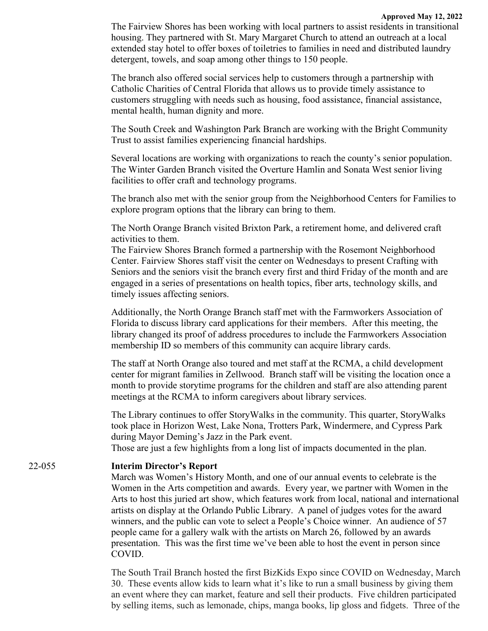#### **Approved May 12, 2022**

The Fairview Shores has been working with local partners to assist residents in transitional housing. They partnered with St. Mary Margaret Church to attend an outreach at a local extended stay hotel to offer boxes of toiletries to families in need and distributed laundry detergent, towels, and soap among other things to 150 people.

The branch also offered social services help to customers through a partnership with Catholic Charities of Central Florida that allows us to provide timely assistance to customers struggling with needs such as housing, food assistance, financial assistance, mental health, human dignity and more.

The South Creek and Washington Park Branch are working with the Bright Community Trust to assist families experiencing financial hardships.

Several locations are working with organizations to reach the county's senior population. The Winter Garden Branch visited the Overture Hamlin and Sonata West senior living facilities to offer craft and technology programs.

The branch also met with the senior group from the Neighborhood Centers for Families to explore program options that the library can bring to them.

The North Orange Branch visited Brixton Park, a retirement home, and delivered craft activities to them.

The Fairview Shores Branch formed a partnership with the Rosemont Neighborhood Center. Fairview Shores staff visit the center on Wednesdays to present Crafting with Seniors and the seniors visit the branch every first and third Friday of the month and are engaged in a series of presentations on health topics, fiber arts, technology skills, and timely issues affecting seniors.

Additionally, the North Orange Branch staff met with the Farmworkers Association of Florida to discuss library card applications for their members. After this meeting, the library changed its proof of address procedures to include the Farmworkers Association membership ID so members of this community can acquire library cards.

The staff at North Orange also toured and met staff at the RCMA, a child development center for migrant families in Zellwood. Branch staff will be visiting the location once a month to provide storytime programs for the children and staff are also attending parent meetings at the RCMA to inform caregivers about library services.

The Library continues to offer StoryWalks in the community. This quarter, StoryWalks took place in Horizon West, Lake Nona, Trotters Park, Windermere, and Cypress Park during Mayor Deming's Jazz in the Park event.

Those are just a few highlights from a long list of impacts documented in the plan.

#### 22-055 **Interim Director's Report**

March was Women's History Month, and one of our annual events to celebrate is the Women in the Arts competition and awards. Every year, we partner with Women in the Arts to host this juried art show, which features work from local, national and international artists on display at the Orlando Public Library. A panel of judges votes for the award winners, and the public can vote to select a People's Choice winner. An audience of 57 people came for a gallery walk with the artists on March 26, followed by an awards presentation. This was the first time we've been able to host the event in person since COVID.

The South Trail Branch hosted the first BizKids Expo since COVID on Wednesday, March 30. These events allow kids to learn what it's like to run a small business by giving them an event where they can market, feature and sell their products. Five children participated by selling items, such as lemonade, chips, manga books, lip gloss and fidgets. Three of the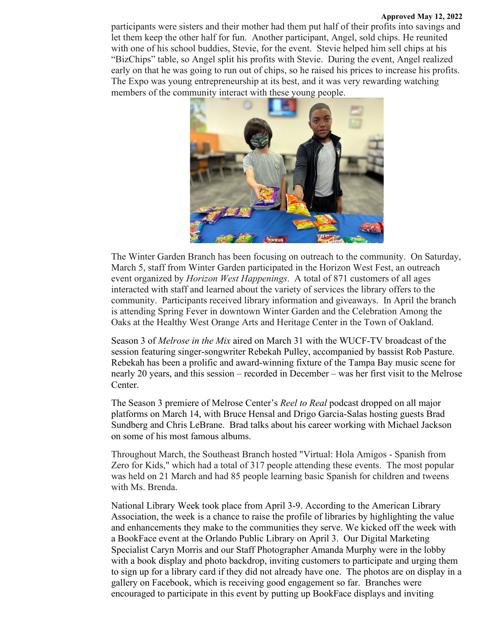#### **Approved May 12, 2022**

participants were sisters and their mother had them put half of their profits into savings and let them keep the other half for fun. Another participant, Angel, sold chips. He reunited with one of his school buddies, Stevie, for the event. Stevie helped him sell chips at his "BizChips" table, so Angel split his profits with Stevie. During the event, Angel realized early on that he was going to run out of chips, so he raised his prices to increase his profits. The Expo was young entrepreneurship at its best, and it was very rewarding watching members of the community interact with these young people.



The Winter Garden Branch has been focusing on outreach to the community. On Saturday, March 5, staff from Winter Garden participated in the Horizon West Fest, an outreach event organized by *Horizon West Happenings*. A total of 871 customers of all ages interacted with staff and learned about the variety of services the library offers to the community. Participants received library information and giveaways. In April the branch is attending Spring Fever in downtown Winter Garden and the Celebration Among the Oaks at the Healthy West Orange Arts and Heritage Center in the Town of Oakland.

Season 3 of *Melrose in the Mix* aired on March 31 with the WUCF-TV broadcast of the session featuring singer-songwriter Rebekah Pulley, accompanied by bassist Rob Pasture. Rebekah has been a prolific and award-winning fixture of the Tampa Bay music scene for nearly 20 years, and this session – recorded in December – was her first visit to the Melrose Center.

The Season 3 premiere of Melrose Center's *Reel to Real* podcast dropped on all major platforms on March 14, with Bruce Hensal and Drigo Garcia-Salas hosting guests Brad Sundberg and Chris LeBrane. Brad talks about his career working with Michael Jackson on some of his most famous albums.

Throughout March, the Southeast Branch hosted "Virtual: Hola Amigos - Spanish from Zero for Kids," which had a total of 317 people attending these events. The most popular was held on 21 March and had 85 people learning basic Spanish for children and tweens with Ms. Brenda.

National Library Week took place from April 3-9. According to the American Library Association, the week is a chance to raise the profile of libraries by highlighting the value and enhancements they make to the communities they serve. We kicked off the week with a BookFace event at the Orlando Public Library on April 3. Our Digital Marketing Specialist Caryn Morris and our Staff Photographer Amanda Murphy were in the lobby with a book display and photo backdrop, inviting customers to participate and urging them to sign up for a library card if they did not already have one. The photos are on display in a gallery on Facebook, which is receiving good engagement so far. Branches were encouraged to participate in this event by putting up BookFace displays and inviting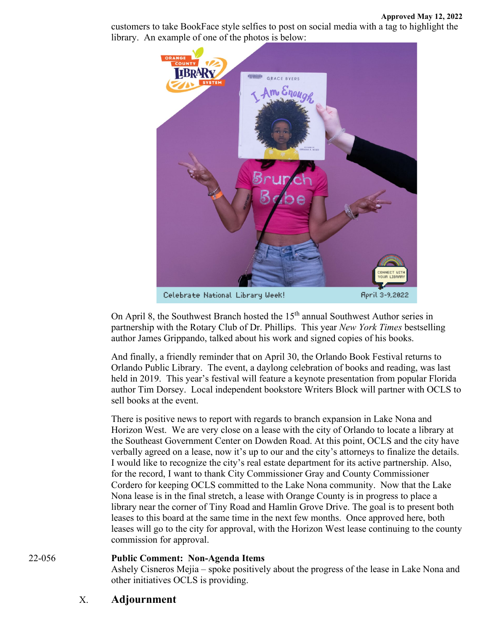customers to take BookFace style selfies to post on social media with a tag to highlight the library. An example of one of the photos is below:



Celebrate National Library Week!

April 3-9,2022

On April 8, the Southwest Branch hosted the 15<sup>th</sup> annual Southwest Author series in partnership with the Rotary Club of Dr. Phillips. This year *New York Times* bestselling author James Grippando, talked about his work and signed copies of his books.

And finally, a friendly reminder that on April 30, the Orlando Book Festival returns to Orlando Public Library. The event, a daylong celebration of books and reading, was last held in 2019. This year's festival will feature a keynote presentation from popular Florida author Tim Dorsey. Local independent bookstore Writers Block will partner with OCLS to sell books at the event.

There is positive news to report with regards to branch expansion in Lake Nona and Horizon West. We are very close on a lease with the city of Orlando to locate a library at the Southeast Government Center on Dowden Road. At this point, OCLS and the city have verbally agreed on a lease, now it's up to our and the city's attorneys to finalize the details. I would like to recognize the city's real estate department for its active partnership. Also, for the record, I want to thank City Commissioner Gray and County Commissioner Cordero for keeping OCLS committed to the Lake Nona community. Now that the Lake Nona lease is in the final stretch, a lease with Orange County is in progress to place a library near the corner of Tiny Road and Hamlin Grove Drive. The goal is to present both leases to this board at the same time in the next few months. Once approved here, both leases will go to the city for approval, with the Horizon West lease continuing to the county commission for approval.

## 22-056 **Public Comment: Non-Agenda Items**

Ashely Cisneros Mejia – spoke positively about the progress of the lease in Lake Nona and other initiatives OCLS is providing.

## X. **Adjournment**